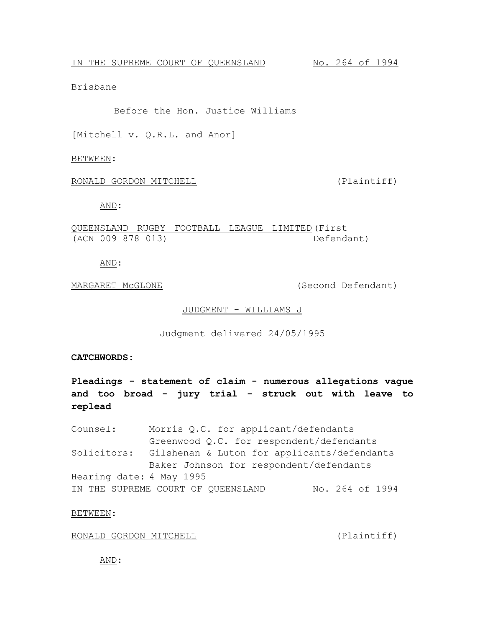Brisbane

Before the Hon. Justice Williams

[Mitchell v. Q.R.L. and Anor]

BETWEEN:

RONALD GORDON MITCHELL (Plaintiff)

AND:

QUEENSLAND RUGBY FOOTBALL LEAGUE LIMITED (First (ACN 009 878 013) Defendant)

AND:

MARGARET MCGLONE (Second Defendant)

## JUDGMENT - WILLIAMS J

Judgment delivered 24/05/1995

**CATCHWORDS:**

**Pleadings - statement of claim - numerous allegations vague and too broad - jury trial - struck out with leave to replead**

Counsel: Morris Q.C. for applicant/defendants Greenwood Q.C. for respondent/defendants Solicitors: Gilshenan & Luton for applicants/defendants Baker Johnson for respondent/defendants Hearing date: 4 May 1995 IN THE SUPREME COURT OF QUEENSLAND No. 264 of 1994

BETWEEN:

RONALD GORDON MITCHELL (Plaintiff)

AND: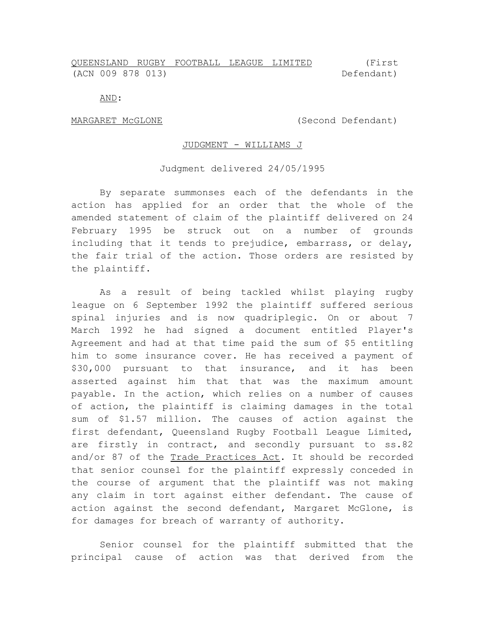## QUEENSLAND RUGBY FOOTBALL LEAGUE LIMITED (ACN 009 878 013) (First Defendant)

AND:

MARGARET McGLONE (Second Defendant)

## JUDGMENT - WILLIAMS J

## Judgment delivered 24/05/1995

By separate summonses each of the defendants in the action has applied for an order that the whole of the amended statement of claim of the plaintiff delivered on 24 February 1995 be struck out on a number of grounds including that it tends to prejudice, embarrass, or delay, the fair trial of the action. Those orders are resisted by the plaintiff.

As a result of being tackled whilst playing rugby league on 6 September 1992 the plaintiff suffered serious spinal injuries and is now quadriplegic. On or about 7 March 1992 he had signed a document entitled Player's Agreement and had at that time paid the sum of \$5 entitling him to some insurance cover. He has received a payment of \$30,000 pursuant to that insurance, and it has been asserted against him that that was the maximum amount payable. In the action, which relies on a number of causes of action, the plaintiff is claiming damages in the total sum of \$1.57 million. The causes of action against the first defendant, Queensland Rugby Football League Limited, are firstly in contract, and secondly pursuant to ss.82 and/or 87 of the Trade Practices Act. It should be recorded that senior counsel for the plaintiff expressly conceded in the course of argument that the plaintiff was not making any claim in tort against either defendant. The cause of action against the second defendant, Margaret McGlone, is for damages for breach of warranty of authority.

Senior counsel for the plaintiff submitted that the principal cause of action was that derived from the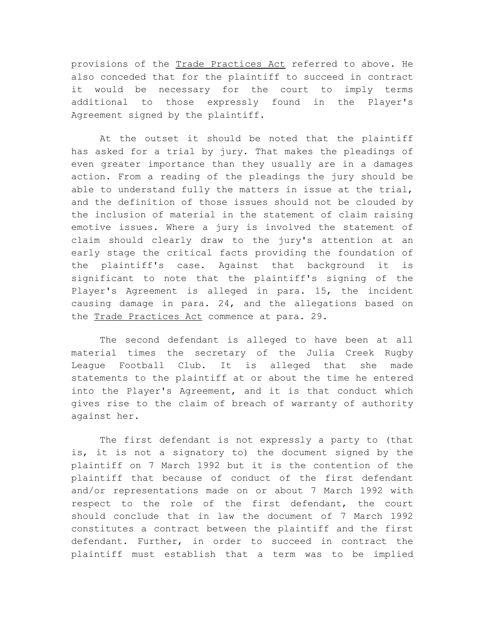provisions of the Trade Practices Act referred to above. He also conceded that for the plaintiff to succeed in contract it would be necessary for the court to imply terms additional to those expressly found in the Player's Agreement signed by the plaintiff.

At the outset it should be noted that the plaintiff has asked for a trial by jury. That makes the pleadings of even greater importance than they usually are in a damages action. From a reading of the pleadings the jury should be able to understand fully the matters in issue at the trial, and the definition of those issues should not be clouded by the inclusion of material in the statement of claim raising emotive issues. Where a jury is involved the statement of claim should clearly draw to the jury's attention at an early stage the critical facts providing the foundation of the plaintiff's case. Against that background it is significant to note that the plaintiff's signing of the Player's Agreement is alleged in para. 15, the incident causing damage in para. 24, and the allegations based on the Trade Practices Act commence at para. 29.

The second defendant is alleged to have been at all material times the secretary of the Julia Creek Rugby League Football Club. It is alleged that she made statements to the plaintiff at or about the time he entered into the Player's Agreement, and it is that conduct which gives rise to the claim of breach of warranty of authority against her.

The first defendant is not expressly a party to (that is, it is not a signatory to) the document signed by the plaintiff on 7 March 1992 but it is the contention of the plaintiff that because of conduct of the first defendant and/or representations made on or about 7 March 1992 with respect to the role of the first defendant, the court should conclude that in law the document of 7 March 1992 constitutes a contract between the plaintiff and the first defendant. Further, in order to succeed in contract the plaintiff must establish that a term was to be implied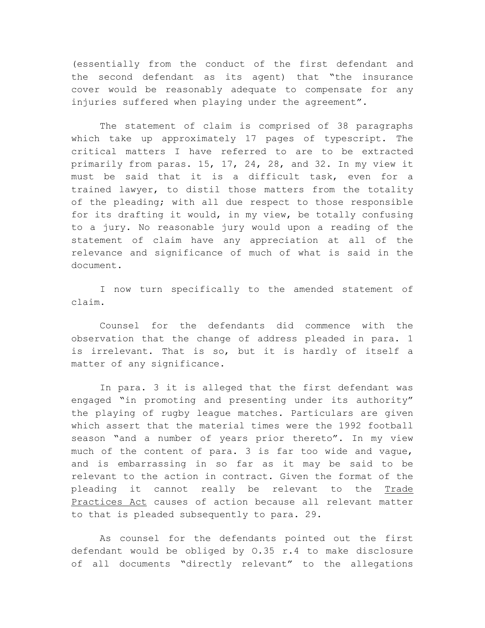(essentially from the conduct of the first defendant and the second defendant as its agent) that "the insurance cover would be reasonably adequate to compensate for any injuries suffered when playing under the agreement".

The statement of claim is comprised of 38 paragraphs which take up approximately 17 pages of typescript. The critical matters I have referred to are to be extracted primarily from paras. 15, 17, 24, 28, and 32. In my view it must be said that it is a difficult task, even for a trained lawyer, to distil those matters from the totality of the pleading; with all due respect to those responsible for its drafting it would, in my view, be totally confusing to a jury. No reasonable jury would upon a reading of the statement of claim have any appreciation at all of the relevance and significance of much of what is said in the document.

I now turn specifically to the amended statement of claim.

Counsel for the defendants did commence with the observation that the change of address pleaded in para. 1 is irrelevant. That is so, but it is hardly of itself a matter of any significance.

In para. 3 it is alleged that the first defendant was engaged "in promoting and presenting under its authority" the playing of rugby league matches. Particulars are given which assert that the material times were the 1992 football season "and a number of years prior thereto". In my view much of the content of para. 3 is far too wide and vague, and is embarrassing in so far as it may be said to be relevant to the action in contract. Given the format of the pleading it cannot really be relevant to the Trade Practices Act causes of action because all relevant matter to that is pleaded subsequently to para. 29.

As counsel for the defendants pointed out the first defendant would be obliged by O.35 r.4 to make disclosure of all documents "directly relevant" to the allegations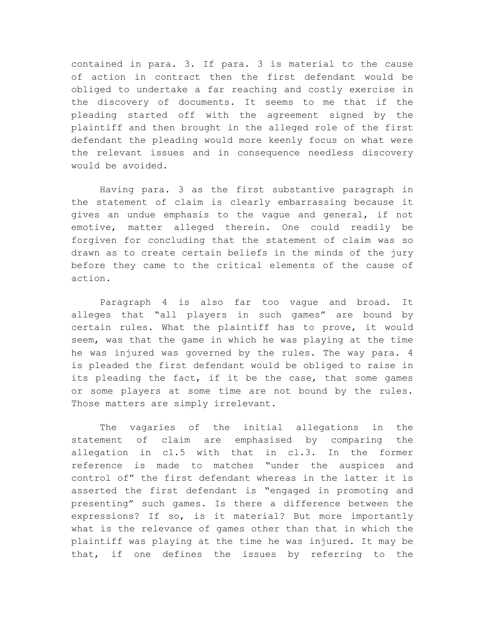contained in para. 3. If para. 3 is material to the cause of action in contract then the first defendant would be obliged to undertake a far reaching and costly exercise in the discovery of documents. It seems to me that if the pleading started off with the agreement signed by the plaintiff and then brought in the alleged role of the first defendant the pleading would more keenly focus on what were the relevant issues and in consequence needless discovery would be avoided.

Having para. 3 as the first substantive paragraph in the statement of claim is clearly embarrassing because it gives an undue emphasis to the vague and general, if not emotive, matter alleged therein. One could readily be forgiven for concluding that the statement of claim was so drawn as to create certain beliefs in the minds of the jury before they came to the critical elements of the cause of action.

Paragraph 4 is also far too vague and broad. It alleges that "all players in such games" are bound by certain rules. What the plaintiff has to prove, it would seem, was that the game in which he was playing at the time he was injured was governed by the rules. The way para. 4 is pleaded the first defendant would be obliged to raise in its pleading the fact, if it be the case, that some games or some players at some time are not bound by the rules. Those matters are simply irrelevant.

The vagaries of the initial allegations in the statement of claim are emphasised by comparing the allegation in cl.5 with that in cl.3. In the former reference is made to matches "under the auspices and control of" the first defendant whereas in the latter it is asserted the first defendant is "engaged in promoting and presenting" such games. Is there a difference between the expressions? If so, is it material? But more importantly what is the relevance of games other than that in which the plaintiff was playing at the time he was injured. It may be that, if one defines the issues by referring to the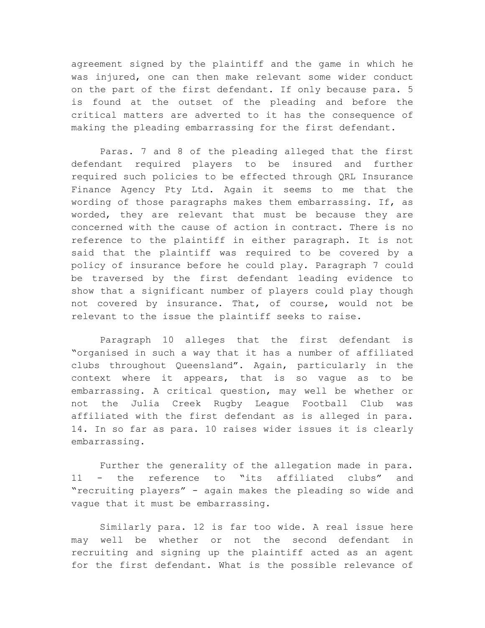agreement signed by the plaintiff and the game in which he was injured, one can then make relevant some wider conduct on the part of the first defendant. If only because para. 5 is found at the outset of the pleading and before the critical matters are adverted to it has the consequence of making the pleading embarrassing for the first defendant.

Paras. 7 and 8 of the pleading alleged that the first defendant required players to be insured and further required such policies to be effected through QRL Insurance Finance Agency Pty Ltd. Again it seems to me that the wording of those paragraphs makes them embarrassing. If, as worded, they are relevant that must be because they are concerned with the cause of action in contract. There is no reference to the plaintiff in either paragraph. It is not said that the plaintiff was required to be covered by a policy of insurance before he could play. Paragraph 7 could be traversed by the first defendant leading evidence to show that a significant number of players could play though not covered by insurance. That, of course, would not be relevant to the issue the plaintiff seeks to raise.

Paragraph 10 alleges that the first defendant is "organised in such a way that it has a number of affiliated clubs throughout Queensland". Again, particularly in the context where it appears, that is so vague as to be embarrassing. A critical question, may well be whether or not the Julia Creek Rugby League Football Club was affiliated with the first defendant as is alleged in para. 14. In so far as para. 10 raises wider issues it is clearly embarrassing.

Further the generality of the allegation made in para. 11 - the reference to "its affiliated clubs" and "recruiting players" - again makes the pleading so wide and vague that it must be embarrassing.

Similarly para. 12 is far too wide. A real issue here may well be whether or not the second defendant in recruiting and signing up the plaintiff acted as an agent for the first defendant. What is the possible relevance of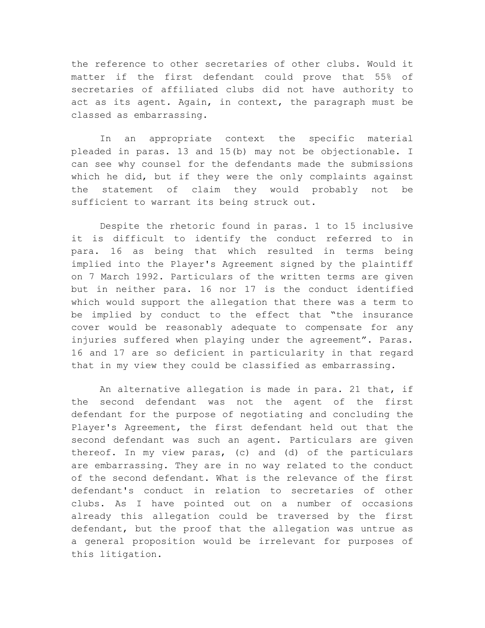the reference to other secretaries of other clubs. Would it matter if the first defendant could prove that 55% of secretaries of affiliated clubs did not have authority to act as its agent. Again, in context, the paragraph must be classed as embarrassing.

In an appropriate context the specific material pleaded in paras. 13 and 15(b) may not be objectionable. I can see why counsel for the defendants made the submissions which he did, but if they were the only complaints against the statement of claim they would probably not be sufficient to warrant its being struck out.

Despite the rhetoric found in paras. 1 to 15 inclusive it is difficult to identify the conduct referred to in para. 16 as being that which resulted in terms being implied into the Player's Agreement signed by the plaintiff on 7 March 1992. Particulars of the written terms are given but in neither para. 16 nor 17 is the conduct identified which would support the allegation that there was a term to be implied by conduct to the effect that "the insurance cover would be reasonably adequate to compensate for any injuries suffered when playing under the agreement". Paras. 16 and 17 are so deficient in particularity in that regard that in my view they could be classified as embarrassing.

An alternative allegation is made in para. 21 that, if the second defendant was not the agent of the first defendant for the purpose of negotiating and concluding the Player's Agreement, the first defendant held out that the second defendant was such an agent. Particulars are given thereof. In my view paras, (c) and (d) of the particulars are embarrassing. They are in no way related to the conduct of the second defendant. What is the relevance of the first defendant's conduct in relation to secretaries of other clubs. As I have pointed out on a number of occasions already this allegation could be traversed by the first defendant, but the proof that the allegation was untrue as a general proposition would be irrelevant for purposes of this litigation.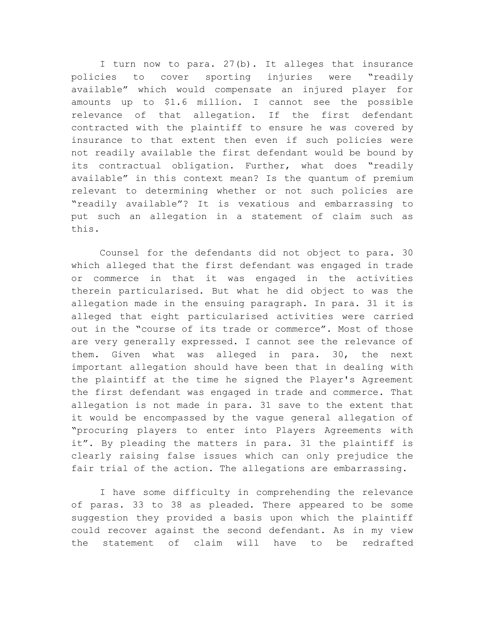I turn now to para. 27(b). It alleges that insurance policies to cover sporting injuries were "readily available" which would compensate an injured player for amounts up to \$1.6 million. I cannot see the possible relevance of that allegation. If the first defendant contracted with the plaintiff to ensure he was covered by insurance to that extent then even if such policies were not readily available the first defendant would be bound by its contractual obligation. Further, what does "readily available" in this context mean? Is the quantum of premium relevant to determining whether or not such policies are "readily available"? It is vexatious and embarrassing to put such an allegation in a statement of claim such as this.

Counsel for the defendants did not object to para. 30 which alleged that the first defendant was engaged in trade or commerce in that it was engaged in the activities therein particularised. But what he did object to was the allegation made in the ensuing paragraph. In para. 31 it is alleged that eight particularised activities were carried out in the "course of its trade or commerce". Most of those are very generally expressed. I cannot see the relevance of them. Given what was alleged in para. 30, the next important allegation should have been that in dealing with the plaintiff at the time he signed the Player's Agreement the first defendant was engaged in trade and commerce. That allegation is not made in para. 31 save to the extent that it would be encompassed by the vague general allegation of "procuring players to enter into Players Agreements with it". By pleading the matters in para. 31 the plaintiff is clearly raising false issues which can only prejudice the fair trial of the action. The allegations are embarrassing.

I have some difficulty in comprehending the relevance of paras. 33 to 38 as pleaded. There appeared to be some suggestion they provided a basis upon which the plaintiff could recover against the second defendant. As in my view the statement of claim will have to be redrafted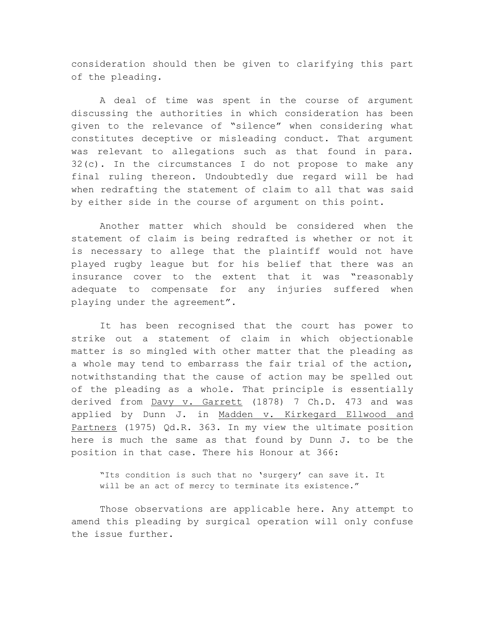consideration should then be given to clarifying this part of the pleading.

A deal of time was spent in the course of argument discussing the authorities in which consideration has been given to the relevance of "silence" when considering what constitutes deceptive or misleading conduct. That argument was relevant to allegations such as that found in para. 32(c). In the circumstances I do not propose to make any final ruling thereon. Undoubtedly due regard will be had when redrafting the statement of claim to all that was said by either side in the course of argument on this point.

Another matter which should be considered when the statement of claim is being redrafted is whether or not it is necessary to allege that the plaintiff would not have played rugby league but for his belief that there was an insurance cover to the extent that it was "reasonably adequate to compensate for any injuries suffered when playing under the agreement".

It has been recognised that the court has power to strike out a statement of claim in which objectionable matter is so mingled with other matter that the pleading as a whole may tend to embarrass the fair trial of the action, notwithstanding that the cause of action may be spelled out of the pleading as a whole. That principle is essentially derived from Davy v. Garrett (1878) 7 Ch.D. 473 and was applied by Dunn J. in Madden v. Kirkegard Ellwood and Partners (1975) Qd.R. 363. In my view the ultimate position here is much the same as that found by Dunn J. to be the position in that case. There his Honour at 366:

"Its condition is such that no 'surgery' can save it. It will be an act of mercy to terminate its existence."

Those observations are applicable here. Any attempt to amend this pleading by surgical operation will only confuse the issue further.